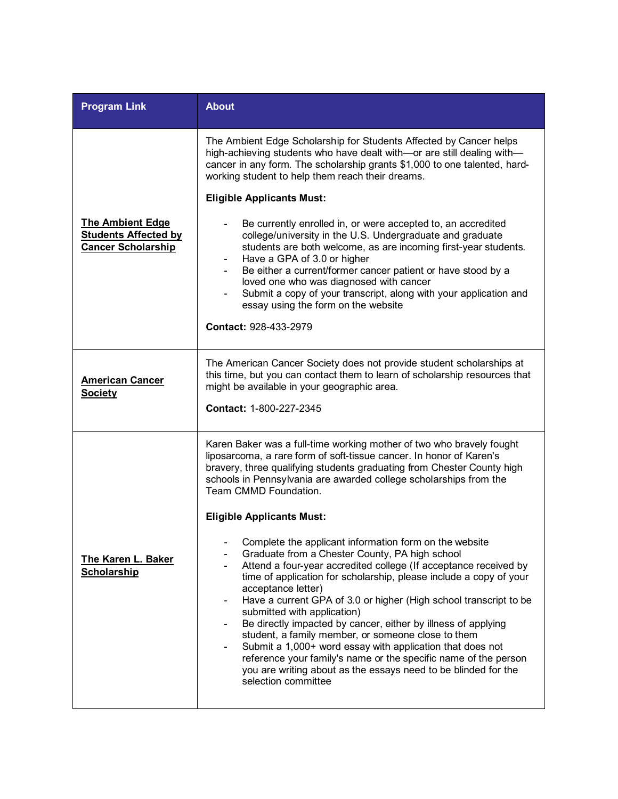| <b>Program Link</b>                                                                 | <b>About</b>                                                                                                                                                                                                                                                                                                                                                                                                                                                                                                                                                                                                                                                                                                                 |
|-------------------------------------------------------------------------------------|------------------------------------------------------------------------------------------------------------------------------------------------------------------------------------------------------------------------------------------------------------------------------------------------------------------------------------------------------------------------------------------------------------------------------------------------------------------------------------------------------------------------------------------------------------------------------------------------------------------------------------------------------------------------------------------------------------------------------|
|                                                                                     | The Ambient Edge Scholarship for Students Affected by Cancer helps<br>high-achieving students who have dealt with-or are still dealing with-<br>cancer in any form. The scholarship grants \$1,000 to one talented, hard-<br>working student to help them reach their dreams.                                                                                                                                                                                                                                                                                                                                                                                                                                                |
|                                                                                     | <b>Eligible Applicants Must:</b>                                                                                                                                                                                                                                                                                                                                                                                                                                                                                                                                                                                                                                                                                             |
| <b>The Ambient Edge</b><br><b>Students Affected by</b><br><b>Cancer Scholarship</b> | Be currently enrolled in, or were accepted to, an accredited<br>college/university in the U.S. Undergraduate and graduate<br>students are both welcome, as are incoming first-year students.<br>Have a GPA of 3.0 or higher<br>Be either a current/former cancer patient or have stood by a<br>loved one who was diagnosed with cancer<br>Submit a copy of your transcript, along with your application and<br>essay using the form on the website                                                                                                                                                                                                                                                                           |
|                                                                                     | Contact: 928-433-2979                                                                                                                                                                                                                                                                                                                                                                                                                                                                                                                                                                                                                                                                                                        |
| <b>American Cancer</b><br><b>Society</b>                                            | The American Cancer Society does not provide student scholarships at<br>this time, but you can contact them to learn of scholarship resources that<br>might be available in your geographic area.<br>Contact: 1-800-227-2345                                                                                                                                                                                                                                                                                                                                                                                                                                                                                                 |
|                                                                                     | Karen Baker was a full-time working mother of two who bravely fought<br>liposarcoma, a rare form of soft-tissue cancer. In honor of Karen's<br>bravery, three qualifying students graduating from Chester County high<br>schools in Pennsylvania are awarded college scholarships from the<br>Team CMMD Foundation.                                                                                                                                                                                                                                                                                                                                                                                                          |
|                                                                                     | <b>Eligible Applicants Must:</b>                                                                                                                                                                                                                                                                                                                                                                                                                                                                                                                                                                                                                                                                                             |
| <b>The Karen L. Baker</b><br><b>Scholarship</b>                                     | Complete the applicant information form on the website<br>Graduate from a Chester County, PA high school<br>Attend a four-year accredited college (If acceptance received by<br>time of application for scholarship, please include a copy of your<br>acceptance letter)<br>Have a current GPA of 3.0 or higher (High school transcript to be<br>submitted with application)<br>Be directly impacted by cancer, either by illness of applying<br>student, a family member, or someone close to them<br>Submit a 1,000+ word essay with application that does not<br>reference your family's name or the specific name of the person<br>you are writing about as the essays need to be blinded for the<br>selection committee |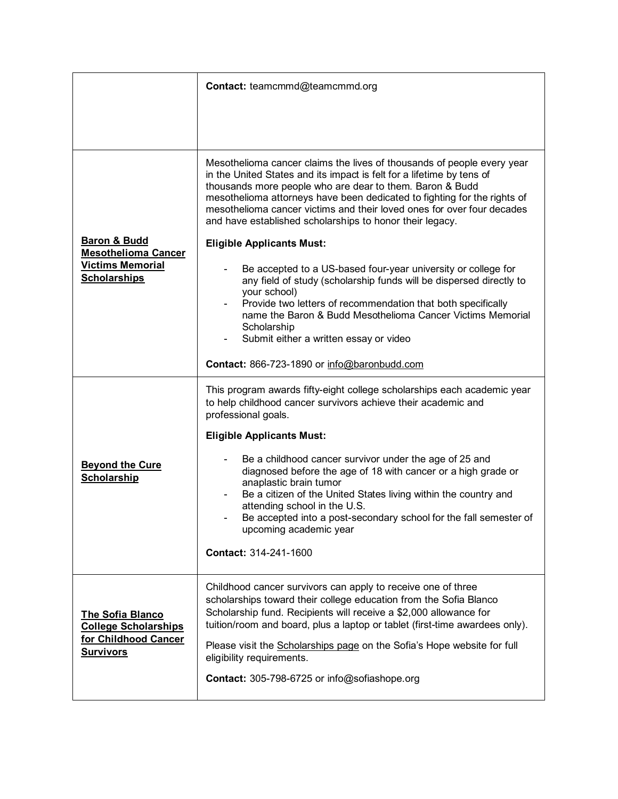|                                                                                                         | Contact: teamcmmd@teamcmmd.org                                                                                                                                                                                                                                                                                                                                                                                                                                                                                                     |
|---------------------------------------------------------------------------------------------------------|------------------------------------------------------------------------------------------------------------------------------------------------------------------------------------------------------------------------------------------------------------------------------------------------------------------------------------------------------------------------------------------------------------------------------------------------------------------------------------------------------------------------------------|
|                                                                                                         |                                                                                                                                                                                                                                                                                                                                                                                                                                                                                                                                    |
| <b>Baron &amp; Budd</b><br><b>Mesothelioma Cancer</b><br><b>Victims Memorial</b><br><b>Scholarships</b> | Mesothelioma cancer claims the lives of thousands of people every year<br>in the United States and its impact is felt for a lifetime by tens of<br>thousands more people who are dear to them. Baron & Budd<br>mesothelioma attorneys have been dedicated to fighting for the rights of<br>mesothelioma cancer victims and their loved ones for over four decades<br>and have established scholarships to honor their legacy.<br><b>Eligible Applicants Must:</b><br>Be accepted to a US-based four-year university or college for |
|                                                                                                         | any field of study (scholarship funds will be dispersed directly to<br>your school)<br>Provide two letters of recommendation that both specifically<br>name the Baron & Budd Mesothelioma Cancer Victims Memorial<br>Scholarship<br>Submit either a written essay or video                                                                                                                                                                                                                                                         |
|                                                                                                         | Contact: 866-723-1890 or info@baronbudd.com                                                                                                                                                                                                                                                                                                                                                                                                                                                                                        |
| <b>Beyond the Cure</b><br><b>Scholarship</b>                                                            | This program awards fifty-eight college scholarships each academic year<br>to help childhood cancer survivors achieve their academic and<br>professional goals.                                                                                                                                                                                                                                                                                                                                                                    |
|                                                                                                         | <b>Eligible Applicants Must:</b>                                                                                                                                                                                                                                                                                                                                                                                                                                                                                                   |
|                                                                                                         | Be a childhood cancer survivor under the age of 25 and<br>diagnosed before the age of 18 with cancer or a high grade or<br>anaplastic brain tumor<br>Be a citizen of the United States living within the country and<br>attending school in the U.S.<br>Be accepted into a post-secondary school for the fall semester of<br>upcoming academic year                                                                                                                                                                                |
|                                                                                                         | Contact: 314-241-1600                                                                                                                                                                                                                                                                                                                                                                                                                                                                                                              |
| The Sofia Blanco<br><b>College Scholarships</b><br>for Childhood Cancer<br><b>Survivors</b>             | Childhood cancer survivors can apply to receive one of three<br>scholarships toward their college education from the Sofia Blanco<br>Scholarship fund. Recipients will receive a \$2,000 allowance for<br>tuition/room and board, plus a laptop or tablet (first-time awardees only).                                                                                                                                                                                                                                              |
|                                                                                                         | Please visit the Scholarships page on the Sofia's Hope website for full<br>eligibility requirements.<br>Contact: 305-798-6725 or info@sofiashope.org                                                                                                                                                                                                                                                                                                                                                                               |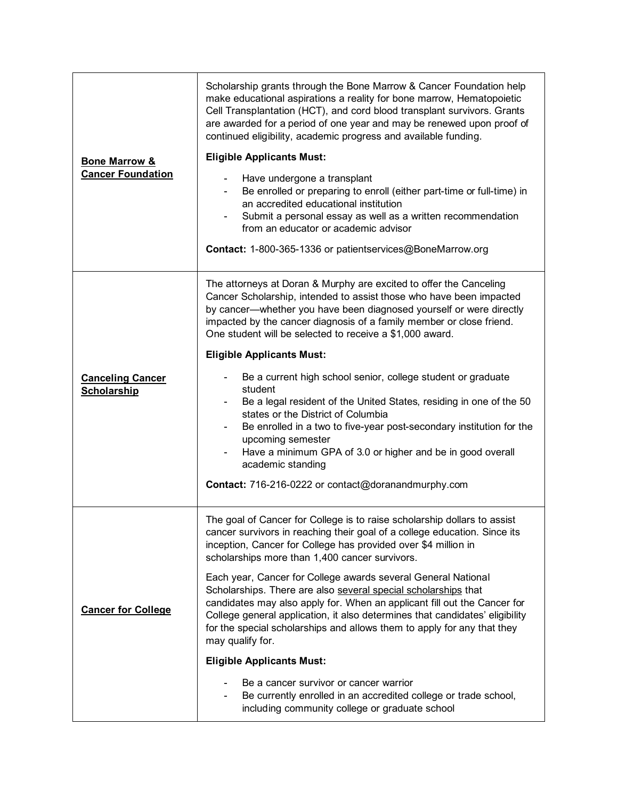| <b>Bone Marrow &amp;</b><br><b>Cancer Foundation</b> | Scholarship grants through the Bone Marrow & Cancer Foundation help<br>make educational aspirations a reality for bone marrow, Hematopoietic<br>Cell Transplantation (HCT), and cord blood transplant survivors. Grants<br>are awarded for a period of one year and may be renewed upon proof of<br>continued eligibility, academic progress and available funding.<br><b>Eligible Applicants Must:</b><br>Have undergone a transplant<br>Be enrolled or preparing to enroll (either part-time or full-time) in<br>an accredited educational institution<br>Submit a personal essay as well as a written recommendation<br>from an educator or academic advisor<br>Contact: 1-800-365-1336 or patientservices@BoneMarrow.org                                                                                                                                               |
|------------------------------------------------------|----------------------------------------------------------------------------------------------------------------------------------------------------------------------------------------------------------------------------------------------------------------------------------------------------------------------------------------------------------------------------------------------------------------------------------------------------------------------------------------------------------------------------------------------------------------------------------------------------------------------------------------------------------------------------------------------------------------------------------------------------------------------------------------------------------------------------------------------------------------------------|
| <b>Canceling Cancer</b><br><b>Scholarship</b>        | The attorneys at Doran & Murphy are excited to offer the Canceling<br>Cancer Scholarship, intended to assist those who have been impacted<br>by cancer—whether you have been diagnosed yourself or were directly<br>impacted by the cancer diagnosis of a family member or close friend.<br>One student will be selected to receive a \$1,000 award.<br><b>Eligible Applicants Must:</b><br>Be a current high school senior, college student or graduate<br>student<br>Be a legal resident of the United States, residing in one of the 50<br>states or the District of Columbia<br>Be enrolled in a two to five-year post-secondary institution for the<br>upcoming semester<br>Have a minimum GPA of 3.0 or higher and be in good overall<br>academic standing<br>Contact: 716-216-0222 or contact@doranandmurphy.com                                                    |
| <b>Cancer for College</b>                            | The goal of Cancer for College is to raise scholarship dollars to assist<br>cancer survivors in reaching their goal of a college education. Since its<br>inception, Cancer for College has provided over \$4 million in<br>scholarships more than 1,400 cancer survivors.<br>Each year, Cancer for College awards several General National<br>Scholarships. There are also several special scholarships that<br>candidates may also apply for. When an applicant fill out the Cancer for<br>College general application, it also determines that candidates' eligibility<br>for the special scholarships and allows them to apply for any that they<br>may qualify for.<br><b>Eligible Applicants Must:</b><br>Be a cancer survivor or cancer warrior<br>Be currently enrolled in an accredited college or trade school,<br>including community college or graduate school |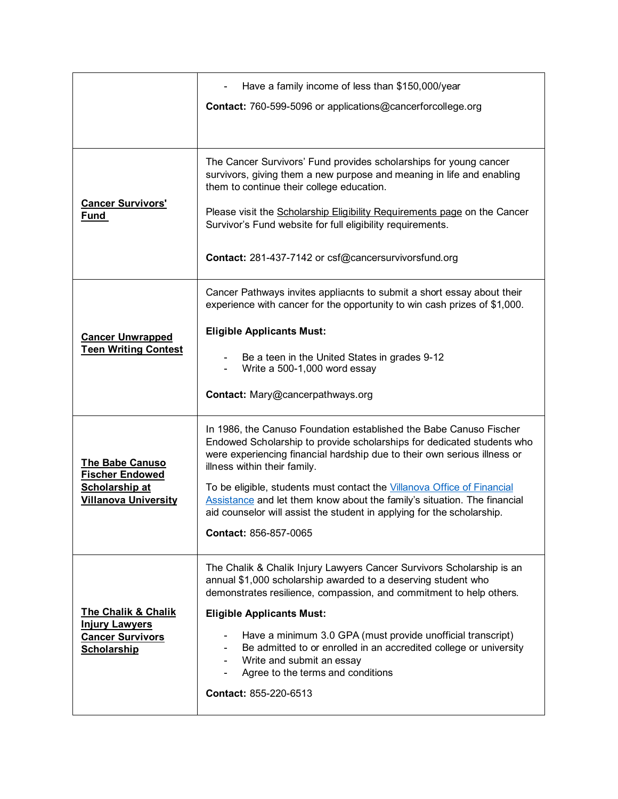|                                                                                                          | Have a family income of less than \$150,000/year                                                                                                                                                                                                         |
|----------------------------------------------------------------------------------------------------------|----------------------------------------------------------------------------------------------------------------------------------------------------------------------------------------------------------------------------------------------------------|
|                                                                                                          | Contact: 760-599-5096 or applications@cancerforcollege.org                                                                                                                                                                                               |
|                                                                                                          |                                                                                                                                                                                                                                                          |
|                                                                                                          | The Cancer Survivors' Fund provides scholarships for young cancer<br>survivors, giving them a new purpose and meaning in life and enabling<br>them to continue their college education.                                                                  |
| <b>Cancer Survivors'</b><br><u>Fund</u>                                                                  | Please visit the Scholarship Eligibility Requirements page on the Cancer<br>Survivor's Fund website for full eligibility requirements.                                                                                                                   |
|                                                                                                          | Contact: 281-437-7142 or csf@cancersurvivorsfund.org                                                                                                                                                                                                     |
|                                                                                                          | Cancer Pathways invites appliacnts to submit a short essay about their<br>experience with cancer for the opportunity to win cash prizes of \$1,000.                                                                                                      |
| <b>Cancer Unwrapped</b>                                                                                  | <b>Eligible Applicants Must:</b>                                                                                                                                                                                                                         |
| <b>Teen Writing Contest</b>                                                                              | Be a teen in the United States in grades 9-12<br>Write a 500-1,000 word essay                                                                                                                                                                            |
|                                                                                                          | Contact: Mary@cancerpathways.org                                                                                                                                                                                                                         |
| <b>The Babe Canuso</b><br><b>Fischer Endowed</b><br>Scholarship at<br><b>Villanova University</b>        | In 1986, the Canuso Foundation established the Babe Canuso Fischer<br>Endowed Scholarship to provide scholarships for dedicated students who<br>were experiencing financial hardship due to their own serious illness or<br>illness within their family. |
|                                                                                                          | To be eligible, students must contact the Villanova Office of Financial<br>Assistance and let them know about the family's situation. The financial<br>aid counselor will assist the student in applying for the scholarship.                            |
|                                                                                                          | Contact: 856-857-0065                                                                                                                                                                                                                                    |
|                                                                                                          | The Chalik & Chalik Injury Lawyers Cancer Survivors Scholarship is an<br>annual \$1,000 scholarship awarded to a deserving student who<br>demonstrates resilience, compassion, and commitment to help others.                                            |
| <b>The Chalik &amp; Chalik</b><br><b>Injury Lawyers</b><br><b>Cancer Survivors</b><br><b>Scholarship</b> | <b>Eligible Applicants Must:</b>                                                                                                                                                                                                                         |
|                                                                                                          | Have a minimum 3.0 GPA (must provide unofficial transcript)<br>Be admitted to or enrolled in an accredited college or university<br>Write and submit an essay<br>Agree to the terms and conditions                                                       |
|                                                                                                          | Contact: 855-220-6513                                                                                                                                                                                                                                    |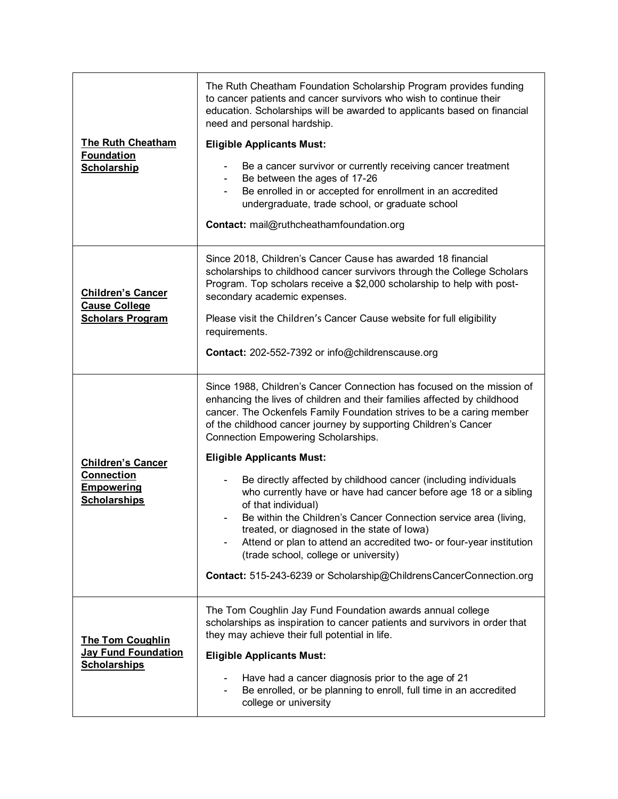| <b>The Ruth Cheatham</b><br><b>Foundation</b><br><b>Scholarship</b>                       | The Ruth Cheatham Foundation Scholarship Program provides funding<br>to cancer patients and cancer survivors who wish to continue their<br>education. Scholarships will be awarded to applicants based on financial<br>need and personal hardship.<br><b>Eligible Applicants Must:</b><br>Be a cancer survivor or currently receiving cancer treatment<br>Be between the ages of 17-26<br>Be enrolled in or accepted for enrollment in an accredited<br>undergraduate, trade school, or graduate school<br>Contact: mail@ruthcheathamfoundation.org                                                                                                                                                                                                                                                                                               |
|-------------------------------------------------------------------------------------------|---------------------------------------------------------------------------------------------------------------------------------------------------------------------------------------------------------------------------------------------------------------------------------------------------------------------------------------------------------------------------------------------------------------------------------------------------------------------------------------------------------------------------------------------------------------------------------------------------------------------------------------------------------------------------------------------------------------------------------------------------------------------------------------------------------------------------------------------------|
| <b>Children's Cancer</b><br><b>Cause College</b><br><b>Scholars Program</b>               | Since 2018, Children's Cancer Cause has awarded 18 financial<br>scholarships to childhood cancer survivors through the College Scholars<br>Program. Top scholars receive a \$2,000 scholarship to help with post-<br>secondary academic expenses.<br>Please visit the Children's Cancer Cause website for full eligibility<br>requirements.<br>Contact: 202-552-7392 or info@childrenscause.org                                                                                                                                                                                                                                                                                                                                                                                                                                                   |
| <b>Children's Cancer</b><br><b>Connection</b><br><b>Empowering</b><br><b>Scholarships</b> | Since 1988, Children's Cancer Connection has focused on the mission of<br>enhancing the lives of children and their families affected by childhood<br>cancer. The Ockenfels Family Foundation strives to be a caring member<br>of the childhood cancer journey by supporting Children's Cancer<br>Connection Empowering Scholarships.<br><b>Eligible Applicants Must:</b><br>Be directly affected by childhood cancer (including individuals<br>who currently have or have had cancer before age 18 or a sibling<br>of that individual)<br>Be within the Children's Cancer Connection service area (living,<br>treated, or diagnosed in the state of lowa)<br>Attend or plan to attend an accredited two- or four-year institution<br>(trade school, college or university)<br>Contact: 515-243-6239 or Scholarship@ChildrensCancerConnection.org |
| The Tom Coughlin<br><b>Jay Fund Foundation</b><br><b>Scholarships</b>                     | The Tom Coughlin Jay Fund Foundation awards annual college<br>scholarships as inspiration to cancer patients and survivors in order that<br>they may achieve their full potential in life.<br><b>Eligible Applicants Must:</b><br>Have had a cancer diagnosis prior to the age of 21<br>Be enrolled, or be planning to enroll, full time in an accredited<br>college or university                                                                                                                                                                                                                                                                                                                                                                                                                                                                |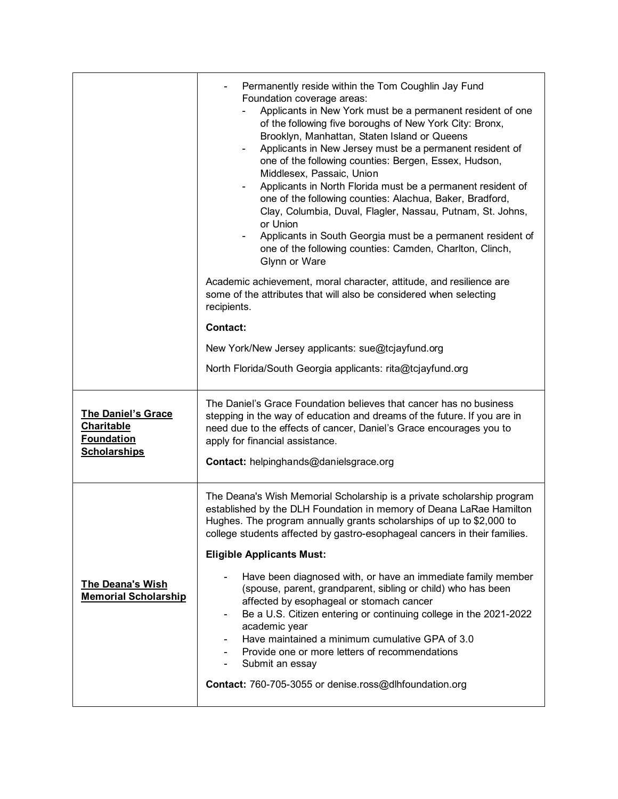|                                                                                            | Permanently reside within the Tom Coughlin Jay Fund<br>Foundation coverage areas:<br>Applicants in New York must be a permanent resident of one<br>of the following five boroughs of New York City: Bronx,<br>Brooklyn, Manhattan, Staten Island or Queens<br>Applicants in New Jersey must be a permanent resident of<br>$\overline{\phantom{a}}$<br>one of the following counties: Bergen, Essex, Hudson,<br>Middlesex, Passaic, Union<br>Applicants in North Florida must be a permanent resident of<br>one of the following counties: Alachua, Baker, Bradford,<br>Clay, Columbia, Duval, Flagler, Nassau, Putnam, St. Johns,<br>or Union<br>Applicants in South Georgia must be a permanent resident of<br>one of the following counties: Camden, Charlton, Clinch,<br>Glynn or Ware |
|--------------------------------------------------------------------------------------------|-------------------------------------------------------------------------------------------------------------------------------------------------------------------------------------------------------------------------------------------------------------------------------------------------------------------------------------------------------------------------------------------------------------------------------------------------------------------------------------------------------------------------------------------------------------------------------------------------------------------------------------------------------------------------------------------------------------------------------------------------------------------------------------------|
|                                                                                            | Academic achievement, moral character, attitude, and resilience are<br>some of the attributes that will also be considered when selecting<br>recipients.                                                                                                                                                                                                                                                                                                                                                                                                                                                                                                                                                                                                                                  |
|                                                                                            | <b>Contact:</b>                                                                                                                                                                                                                                                                                                                                                                                                                                                                                                                                                                                                                                                                                                                                                                           |
|                                                                                            | New York/New Jersey applicants: sue@tcjayfund.org                                                                                                                                                                                                                                                                                                                                                                                                                                                                                                                                                                                                                                                                                                                                         |
|                                                                                            | North Florida/South Georgia applicants: rita@tcjayfund.org                                                                                                                                                                                                                                                                                                                                                                                                                                                                                                                                                                                                                                                                                                                                |
| <b>The Daniel's Grace</b><br><b>Charitable</b><br><b>Foundation</b><br><b>Scholarships</b> | The Daniel's Grace Foundation believes that cancer has no business<br>stepping in the way of education and dreams of the future. If you are in<br>need due to the effects of cancer, Daniel's Grace encourages you to<br>apply for financial assistance.<br><b>Contact:</b> helpinghands@danielsgrace.org                                                                                                                                                                                                                                                                                                                                                                                                                                                                                 |
|                                                                                            |                                                                                                                                                                                                                                                                                                                                                                                                                                                                                                                                                                                                                                                                                                                                                                                           |
|                                                                                            | The Deana's Wish Memorial Scholarship is a private scholarship program<br>established by the DLH Foundation in memory of Deana LaRae Hamilton<br>Hughes. The program annually grants scholarships of up to \$2,000 to<br>college students affected by gastro-esophageal cancers in their families.                                                                                                                                                                                                                                                                                                                                                                                                                                                                                        |
|                                                                                            | <b>Eligible Applicants Must:</b>                                                                                                                                                                                                                                                                                                                                                                                                                                                                                                                                                                                                                                                                                                                                                          |
| The Deana's Wish<br><b>Memorial Scholarship</b>                                            | Have been diagnosed with, or have an immediate family member<br>(spouse, parent, grandparent, sibling or child) who has been<br>affected by esophageal or stomach cancer<br>Be a U.S. Citizen entering or continuing college in the 2021-2022<br>$\qquad \qquad \blacksquare$<br>academic year<br>Have maintained a minimum cumulative GPA of 3.0<br>Provide one or more letters of recommendations<br>Submit an essay                                                                                                                                                                                                                                                                                                                                                                    |
|                                                                                            | Contact: 760-705-3055 or denise.ross@dlhfoundation.org                                                                                                                                                                                                                                                                                                                                                                                                                                                                                                                                                                                                                                                                                                                                    |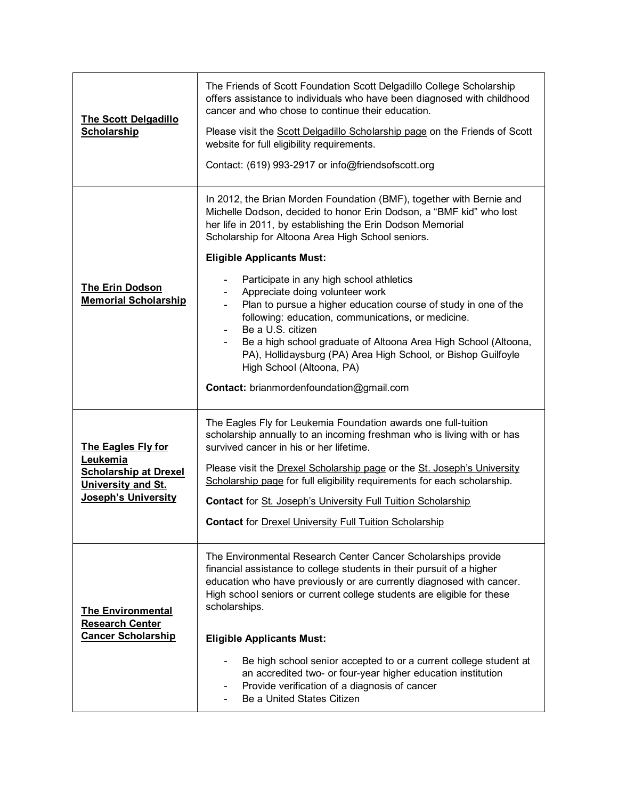| <b>The Scott Delgadillo</b><br><b>Scholarship</b>                                                                         | The Friends of Scott Foundation Scott Delgadillo College Scholarship<br>offers assistance to individuals who have been diagnosed with childhood<br>cancer and who chose to continue their education.<br>Please visit the Scott Delgadillo Scholarship page on the Friends of Scott<br>website for full eligibility requirements.<br>Contact: (619) 993-2917 or info@friendsofscott.org                                                                                                                                                                                                                                                                                                                                                                                           |
|---------------------------------------------------------------------------------------------------------------------------|----------------------------------------------------------------------------------------------------------------------------------------------------------------------------------------------------------------------------------------------------------------------------------------------------------------------------------------------------------------------------------------------------------------------------------------------------------------------------------------------------------------------------------------------------------------------------------------------------------------------------------------------------------------------------------------------------------------------------------------------------------------------------------|
| <b>The Erin Dodson</b><br><b>Memorial Scholarship</b>                                                                     | In 2012, the Brian Morden Foundation (BMF), together with Bernie and<br>Michelle Dodson, decided to honor Erin Dodson, a "BMF kid" who lost<br>her life in 2011, by establishing the Erin Dodson Memorial<br>Scholarship for Altoona Area High School seniors.<br><b>Eligible Applicants Must:</b><br>Participate in any high school athletics<br>$\blacksquare$<br>Appreciate doing volunteer work<br>Plan to pursue a higher education course of study in one of the<br>$\blacksquare$<br>following: education, communications, or medicine.<br>Be a U.S. citizen<br>Be a high school graduate of Altoona Area High School (Altoona,<br>PA), Hollidaysburg (PA) Area High School, or Bishop Guilfoyle<br>High School (Altoona, PA)<br>Contact: brianmordenfoundation@gmail.com |
| <b>The Eagles Fly for</b><br>Leukemia<br><b>Scholarship at Drexel</b><br>University and St.<br><b>Joseph's University</b> | The Eagles Fly for Leukemia Foundation awards one full-tuition<br>scholarship annually to an incoming freshman who is living with or has<br>survived cancer in his or her lifetime.<br>Please visit the Drexel Scholarship page or the St. Joseph's University<br>Scholarship page for full eligibility requirements for each scholarship.<br><b>Contact for St. Joseph's University Full Tuition Scholarship</b><br><b>Contact for Drexel University Full Tuition Scholarship</b>                                                                                                                                                                                                                                                                                               |
| <b>The Environmental</b><br><b>Research Center</b><br><b>Cancer Scholarship</b>                                           | The Environmental Research Center Cancer Scholarships provide<br>financial assistance to college students in their pursuit of a higher<br>education who have previously or are currently diagnosed with cancer.<br>High school seniors or current college students are eligible for these<br>scholarships.<br><b>Eligible Applicants Must:</b><br>Be high school senior accepted to or a current college student at<br>an accredited two- or four-year higher education institution<br>Provide verification of a diagnosis of cancer<br>Be a United States Citizen                                                                                                                                                                                                               |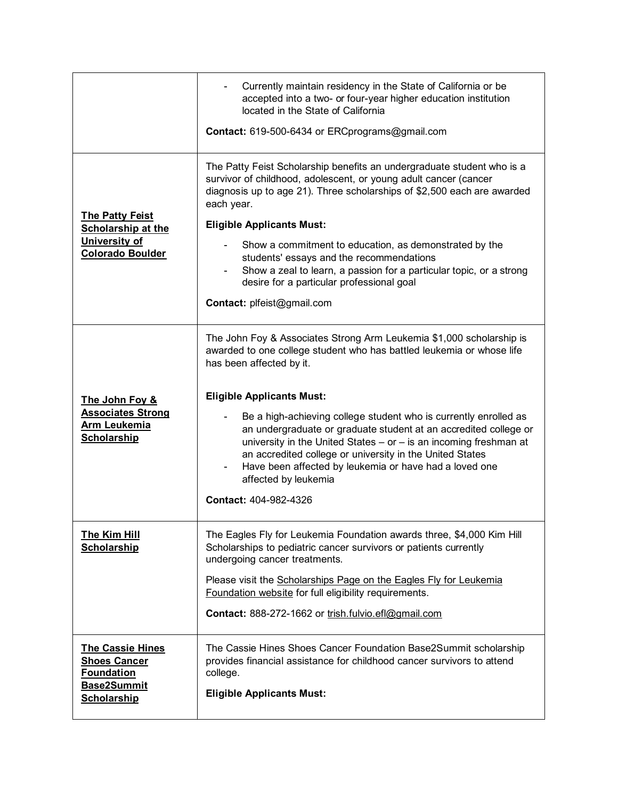|                                                                                                                 | Currently maintain residency in the State of California or be<br>accepted into a two- or four-year higher education institution<br>located in the State of California<br><b>Contact:</b> 619-500-6434 or ERCprograms@gmail.com                                                                                                                              |
|-----------------------------------------------------------------------------------------------------------------|-------------------------------------------------------------------------------------------------------------------------------------------------------------------------------------------------------------------------------------------------------------------------------------------------------------------------------------------------------------|
|                                                                                                                 | The Patty Feist Scholarship benefits an undergraduate student who is a<br>survivor of childhood, adolescent, or young adult cancer (cancer<br>diagnosis up to age 21). Three scholarships of \$2,500 each are awarded<br>each year.                                                                                                                         |
| <b>The Patty Feist</b><br><b>Scholarship at the</b>                                                             | <b>Eligible Applicants Must:</b>                                                                                                                                                                                                                                                                                                                            |
| University of<br><b>Colorado Boulder</b>                                                                        | Show a commitment to education, as demonstrated by the<br>students' essays and the recommendations<br>Show a zeal to learn, a passion for a particular topic, or a strong<br>desire for a particular professional goal                                                                                                                                      |
|                                                                                                                 | <b>Contact: plfeist@gmail.com</b>                                                                                                                                                                                                                                                                                                                           |
|                                                                                                                 | The John Foy & Associates Strong Arm Leukemia \$1,000 scholarship is<br>awarded to one college student who has battled leukemia or whose life<br>has been affected by it.                                                                                                                                                                                   |
| The John Foy &                                                                                                  | <b>Eligible Applicants Must:</b>                                                                                                                                                                                                                                                                                                                            |
| <b>Associates Strong</b><br><b>Arm Leukemia</b><br><b>Scholarship</b>                                           | Be a high-achieving college student who is currently enrolled as<br>an undergraduate or graduate student at an accredited college or<br>university in the United States $-$ or $-$ is an incoming freshman at<br>an accredited college or university in the United States<br>Have been affected by leukemia or have had a loved one<br>affected by leukemia |
|                                                                                                                 | Contact: 404-982-4326                                                                                                                                                                                                                                                                                                                                       |
| <b>The Kim Hill</b><br><b>Scholarship</b>                                                                       | The Eagles Fly for Leukemia Foundation awards three, \$4,000 Kim Hill<br>Scholarships to pediatric cancer survivors or patients currently<br>undergoing cancer treatments.                                                                                                                                                                                  |
|                                                                                                                 | Please visit the Scholarships Page on the Eagles Fly for Leukemia<br>Foundation website for full eligibility requirements.                                                                                                                                                                                                                                  |
|                                                                                                                 | Contact: 888-272-1662 or trish.fulvio.efl@gmail.com                                                                                                                                                                                                                                                                                                         |
| <b>The Cassie Hines</b><br><b>Shoes Cancer</b><br><b>Foundation</b><br><b>Base2Summit</b><br><b>Scholarship</b> | The Cassie Hines Shoes Cancer Foundation Base2Summit scholarship<br>provides financial assistance for childhood cancer survivors to attend<br>college.<br><b>Eligible Applicants Must:</b>                                                                                                                                                                  |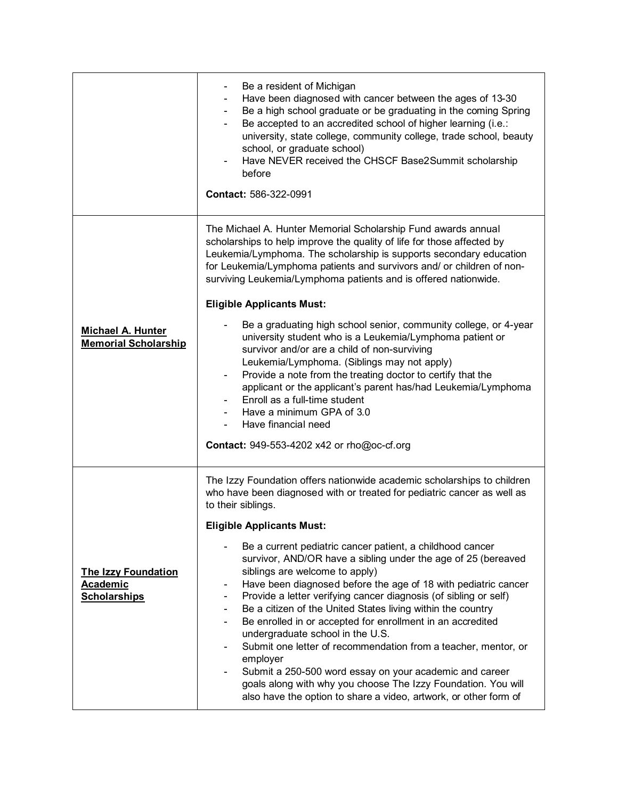|                                                                      | Be a resident of Michigan<br>Have been diagnosed with cancer between the ages of 13-30<br>Be a high school graduate or be graduating in the coming Spring<br>۰.<br>Be accepted to an accredited school of higher learning (i.e.:<br>$\blacksquare$<br>university, state college, community college, trade school, beauty<br>school, or graduate school)<br>Have NEVER received the CHSCF Base2Summit scholarship<br>before<br>Contact: 586-322-0991                                                                                                                                                                                                                                                                                                                                                                                                                                                                                                                                                                                                                         |
|----------------------------------------------------------------------|-----------------------------------------------------------------------------------------------------------------------------------------------------------------------------------------------------------------------------------------------------------------------------------------------------------------------------------------------------------------------------------------------------------------------------------------------------------------------------------------------------------------------------------------------------------------------------------------------------------------------------------------------------------------------------------------------------------------------------------------------------------------------------------------------------------------------------------------------------------------------------------------------------------------------------------------------------------------------------------------------------------------------------------------------------------------------------|
| <b>Michael A. Hunter</b><br><b>Memorial Scholarship</b>              | The Michael A. Hunter Memorial Scholarship Fund awards annual<br>scholarships to help improve the quality of life for those affected by<br>Leukemia/Lymphoma. The scholarship is supports secondary education<br>for Leukemia/Lymphoma patients and survivors and/ or children of non-<br>surviving Leukemia/Lymphoma patients and is offered nationwide.<br><b>Eligible Applicants Must:</b><br>Be a graduating high school senior, community college, or 4-year<br>university student who is a Leukemia/Lymphoma patient or<br>survivor and/or are a child of non-surviving<br>Leukemia/Lymphoma. (Siblings may not apply)<br>Provide a note from the treating doctor to certify that the<br>$\blacksquare$<br>applicant or the applicant's parent has/had Leukemia/Lymphoma<br>Enroll as a full-time student<br>Have a minimum GPA of 3.0<br>Have financial need<br><b>Contact: 949-553-4202 x42 or rho@oc-cf.org</b>                                                                                                                                                    |
| <b>The Izzy Foundation</b><br><b>Academic</b><br><b>Scholarships</b> | The Izzy Foundation offers nationwide academic scholarships to children<br>who have been diagnosed with or treated for pediatric cancer as well as<br>to their siblings.<br><b>Eligible Applicants Must:</b><br>Be a current pediatric cancer patient, a childhood cancer<br>survivor, AND/OR have a sibling under the age of 25 (bereaved<br>siblings are welcome to apply)<br>Have been diagnosed before the age of 18 with pediatric cancer<br>$\qquad \qquad \blacksquare$<br>Provide a letter verifying cancer diagnosis (of sibling or self)<br>$\overline{\phantom{a}}$<br>Be a citizen of the United States living within the country<br>$\overline{\phantom{a}}$<br>Be enrolled in or accepted for enrollment in an accredited<br>$\blacksquare$<br>undergraduate school in the U.S.<br>Submit one letter of recommendation from a teacher, mentor, or<br>employer<br>Submit a 250-500 word essay on your academic and career<br>goals along with why you choose The Izzy Foundation. You will<br>also have the option to share a video, artwork, or other form of |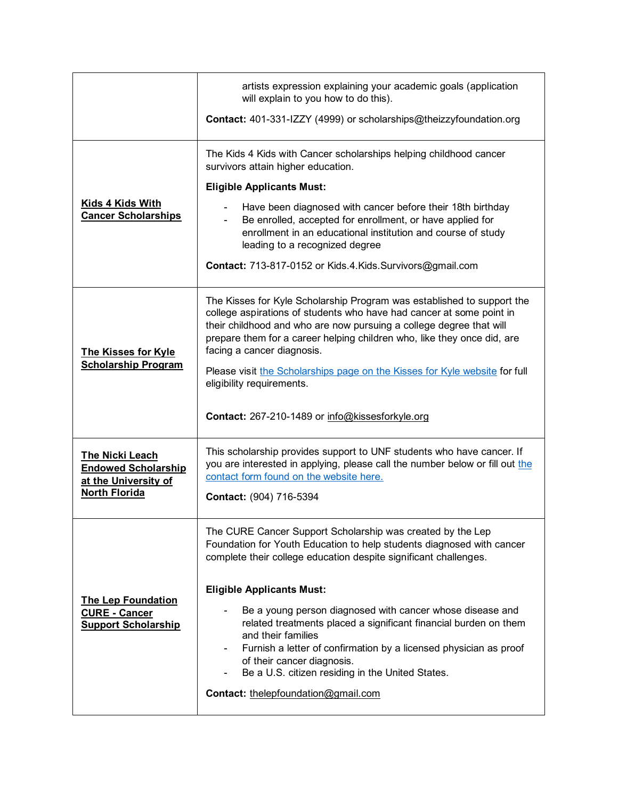|                                                                                               | artists expression explaining your academic goals (application<br>will explain to you how to do this).                                                                                                                                                                                                                                                                                                                                    |
|-----------------------------------------------------------------------------------------------|-------------------------------------------------------------------------------------------------------------------------------------------------------------------------------------------------------------------------------------------------------------------------------------------------------------------------------------------------------------------------------------------------------------------------------------------|
|                                                                                               | <b>Contact:</b> 401-331-IZZY (4999) or scholarships@theizzyfoundation.org                                                                                                                                                                                                                                                                                                                                                                 |
|                                                                                               | The Kids 4 Kids with Cancer scholarships helping childhood cancer<br>survivors attain higher education.                                                                                                                                                                                                                                                                                                                                   |
|                                                                                               | <b>Eligible Applicants Must:</b>                                                                                                                                                                                                                                                                                                                                                                                                          |
| Kids 4 Kids With<br><b>Cancer Scholarships</b>                                                | Have been diagnosed with cancer before their 18th birthday<br>Be enrolled, accepted for enrollment, or have applied for<br>enrollment in an educational institution and course of study<br>leading to a recognized degree                                                                                                                                                                                                                 |
|                                                                                               | <b>Contact:</b> 713-817-0152 or Kids.4.Kids.Survivors@gmail.com                                                                                                                                                                                                                                                                                                                                                                           |
| <b>The Kisses for Kyle</b><br><b>Scholarship Program</b>                                      | The Kisses for Kyle Scholarship Program was established to support the<br>college aspirations of students who have had cancer at some point in<br>their childhood and who are now pursuing a college degree that will<br>prepare them for a career helping children who, like they once did, are<br>facing a cancer diagnosis.<br>Please visit the Scholarships page on the Kisses for Kyle website for full<br>eligibility requirements. |
|                                                                                               | Contact: 267-210-1489 or info@kissesforkyle.org                                                                                                                                                                                                                                                                                                                                                                                           |
| The Nicki Leach<br><b>Endowed Scholarship</b><br>at the University of<br><b>North Florida</b> | This scholarship provides support to UNF students who have cancer. If<br>you are interested in applying, please call the number below or fill out the<br>contact form found on the website here.<br>Contact: (904) 716-5394                                                                                                                                                                                                               |
|                                                                                               |                                                                                                                                                                                                                                                                                                                                                                                                                                           |
| <b>The Lep Foundation</b><br><b>CURE - Cancer</b><br><b>Support Scholarship</b>               | The CURE Cancer Support Scholarship was created by the Lep<br>Foundation for Youth Education to help students diagnosed with cancer<br>complete their college education despite significant challenges.                                                                                                                                                                                                                                   |
|                                                                                               | <b>Eligible Applicants Must:</b><br>Be a young person diagnosed with cancer whose disease and<br>related treatments placed a significant financial burden on them<br>and their families<br>Furnish a letter of confirmation by a licensed physician as proof<br>of their cancer diagnosis.<br>Be a U.S. citizen residing in the United States.<br>Contact: thelepfoundation@gmail.com                                                     |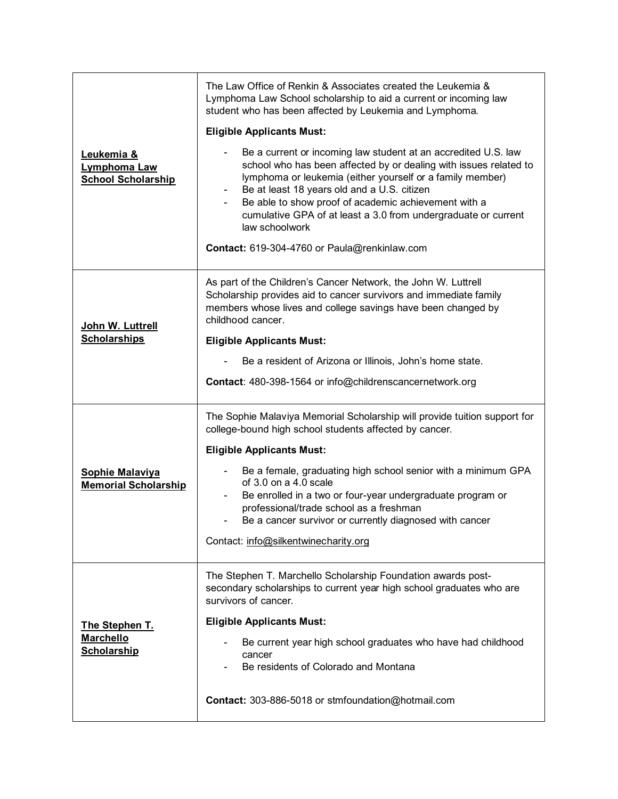|                                                          | The Law Office of Renkin & Associates created the Leukemia &<br>Lymphoma Law School scholarship to aid a current or incoming law<br>student who has been affected by Leukemia and Lymphoma.                                                                                                                                                                                                                                                                                     |
|----------------------------------------------------------|---------------------------------------------------------------------------------------------------------------------------------------------------------------------------------------------------------------------------------------------------------------------------------------------------------------------------------------------------------------------------------------------------------------------------------------------------------------------------------|
|                                                          | <b>Eligible Applicants Must:</b>                                                                                                                                                                                                                                                                                                                                                                                                                                                |
| Leukemia &<br>Lymphoma Law<br><b>School Scholarship</b>  | Be a current or incoming law student at an accredited U.S. law<br>school who has been affected by or dealing with issues related to<br>lymphoma or leukemia (either yourself or a family member)<br>Be at least 18 years old and a U.S. citizen<br>$\blacksquare$<br>Be able to show proof of academic achievement with a<br>$\blacksquare$<br>cumulative GPA of at least a 3.0 from undergraduate or current<br>law schoolwork<br>Contact: 619-304-4760 or Paula@renkinlaw.com |
|                                                          |                                                                                                                                                                                                                                                                                                                                                                                                                                                                                 |
| John W. Luttrell                                         | As part of the Children's Cancer Network, the John W. Luttrell<br>Scholarship provides aid to cancer survivors and immediate family<br>members whose lives and college savings have been changed by<br>childhood cancer.                                                                                                                                                                                                                                                        |
| <b>Scholarships</b>                                      | <b>Eligible Applicants Must:</b>                                                                                                                                                                                                                                                                                                                                                                                                                                                |
|                                                          | Be a resident of Arizona or Illinois, John's home state.                                                                                                                                                                                                                                                                                                                                                                                                                        |
|                                                          | Contact: 480-398-1564 or info@childrenscancernetwork.org                                                                                                                                                                                                                                                                                                                                                                                                                        |
|                                                          | The Sophie Malaviya Memorial Scholarship will provide tuition support for<br>college-bound high school students affected by cancer.                                                                                                                                                                                                                                                                                                                                             |
|                                                          | <b>Eligible Applicants Must:</b>                                                                                                                                                                                                                                                                                                                                                                                                                                                |
| <b>Sophie Malaviya</b><br><b>Memorial Scholarship</b>    | Be a female, graduating high school senior with a minimum GPA<br>of $3.0$ on a $4.0$ scale<br>Be enrolled in a two or four-year undergraduate program or<br>professional/trade school as a freshman<br>Be a cancer survivor or currently diagnosed with cancer                                                                                                                                                                                                                  |
|                                                          | Contact: info@silkentwinecharity.org                                                                                                                                                                                                                                                                                                                                                                                                                                            |
| The Stephen T.<br><b>Marchello</b><br><b>Scholarship</b> | The Stephen T. Marchello Scholarship Foundation awards post-<br>secondary scholarships to current year high school graduates who are<br>survivors of cancer.                                                                                                                                                                                                                                                                                                                    |
|                                                          | <b>Eligible Applicants Must:</b>                                                                                                                                                                                                                                                                                                                                                                                                                                                |
|                                                          | Be current year high school graduates who have had childhood<br>cancer<br>Be residents of Colorado and Montana                                                                                                                                                                                                                                                                                                                                                                  |
|                                                          | Contact: 303-886-5018 or stmfoundation@hotmail.com                                                                                                                                                                                                                                                                                                                                                                                                                              |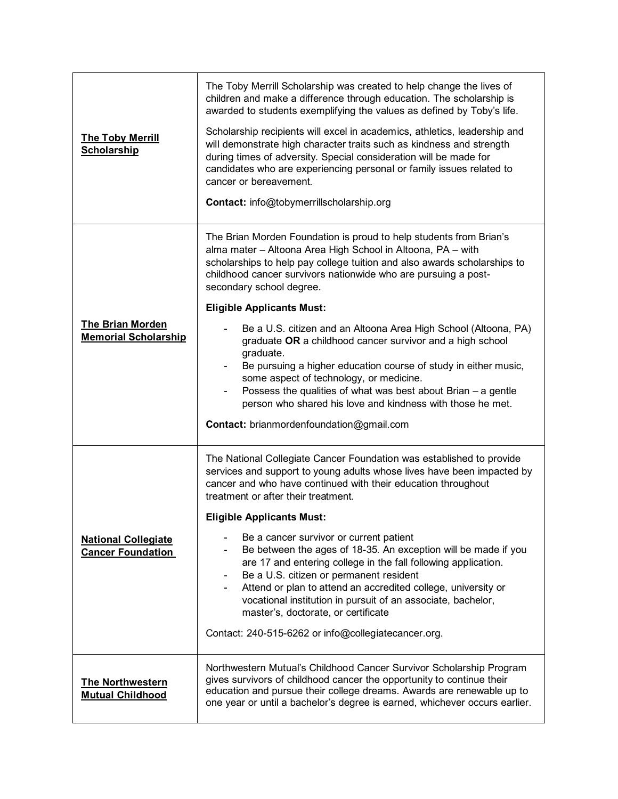| <b>The Toby Merrill</b><br><b>Scholarship</b>          | The Toby Merrill Scholarship was created to help change the lives of<br>children and make a difference through education. The scholarship is<br>awarded to students exemplifying the values as defined by Toby's life.<br>Scholarship recipients will excel in academics, athletics, leadership and<br>will demonstrate high character traits such as kindness and strength<br>during times of adversity. Special consideration will be made for<br>candidates who are experiencing personal or family issues related to<br>cancer or bereavement.<br><b>Contact:</b> info@tobymerrillscholarship.org                                                                                                                                                                                          |
|--------------------------------------------------------|------------------------------------------------------------------------------------------------------------------------------------------------------------------------------------------------------------------------------------------------------------------------------------------------------------------------------------------------------------------------------------------------------------------------------------------------------------------------------------------------------------------------------------------------------------------------------------------------------------------------------------------------------------------------------------------------------------------------------------------------------------------------------------------------|
| <b>The Brian Morden</b><br><b>Memorial Scholarship</b> | The Brian Morden Foundation is proud to help students from Brian's<br>alma mater - Altoona Area High School in Altoona, PA - with<br>scholarships to help pay college tuition and also awards scholarships to<br>childhood cancer survivors nationwide who are pursuing a post-<br>secondary school degree.<br><b>Eligible Applicants Must:</b><br>Be a U.S. citizen and an Altoona Area High School (Altoona, PA)<br>graduate OR a childhood cancer survivor and a high school<br>graduate.<br>Be pursuing a higher education course of study in either music,<br>some aspect of technology, or medicine.<br>Possess the qualities of what was best about Brian $-$ a gentle<br>person who shared his love and kindness with those he met.<br><b>Contact:</b> brianmordenfoundation@gmail.com |
| <b>National Collegiate</b><br><b>Cancer Foundation</b> | The National Collegiate Cancer Foundation was established to provide<br>services and support to young adults whose lives have been impacted by<br>cancer and who have continued with their education throughout<br>treatment or after their treatment.<br><b>Eligible Applicants Must:</b><br>Be a cancer survivor or current patient<br>Be between the ages of 18-35. An exception will be made if you<br>are 17 and entering college in the fall following application.<br>Be a U.S. citizen or permanent resident<br>Attend or plan to attend an accredited college, university or<br>vocational institution in pursuit of an associate, bachelor,<br>master's, doctorate, or certificate<br>Contact: 240-515-6262 or info@collegiatecancer.org.                                            |
| <b>The Northwestern</b><br><b>Mutual Childhood</b>     | Northwestern Mutual's Childhood Cancer Survivor Scholarship Program<br>gives survivors of childhood cancer the opportunity to continue their<br>education and pursue their college dreams. Awards are renewable up to<br>one year or until a bachelor's degree is earned, whichever occurs earlier.                                                                                                                                                                                                                                                                                                                                                                                                                                                                                            |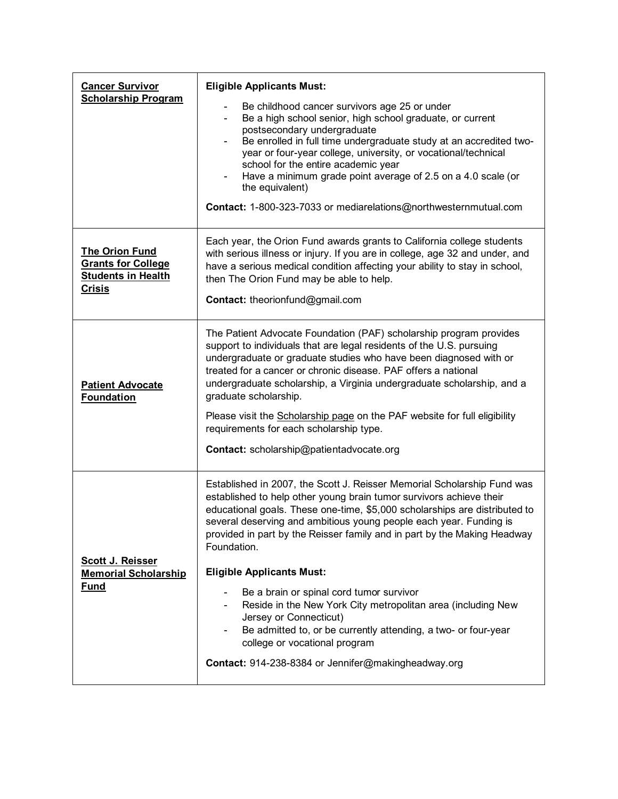| Be childhood cancer survivors age 25 or under<br>Be a high school senior, high school graduate, or current<br>$\blacksquare$<br>postsecondary undergraduate                                                                                                                                                                                                                                                                                                                                                                                                                                                                                                                                                                       |
|-----------------------------------------------------------------------------------------------------------------------------------------------------------------------------------------------------------------------------------------------------------------------------------------------------------------------------------------------------------------------------------------------------------------------------------------------------------------------------------------------------------------------------------------------------------------------------------------------------------------------------------------------------------------------------------------------------------------------------------|
| Be enrolled in full time undergraduate study at an accredited two-<br>$\overline{\phantom{0}}$<br>year or four-year college, university, or vocational/technical<br>school for the entire academic year<br>Have a minimum grade point average of 2.5 on a 4.0 scale (or<br>the equivalent)<br>Contact: 1-800-323-7033 or mediarelations@northwesternmutual.com                                                                                                                                                                                                                                                                                                                                                                    |
| Each year, the Orion Fund awards grants to California college students<br>with serious illness or injury. If you are in college, age 32 and under, and<br>have a serious medical condition affecting your ability to stay in school,<br>then The Orion Fund may be able to help.<br>Contact: theorionfund@gmail.com                                                                                                                                                                                                                                                                                                                                                                                                               |
| The Patient Advocate Foundation (PAF) scholarship program provides<br>support to individuals that are legal residents of the U.S. pursuing<br>undergraduate or graduate studies who have been diagnosed with or<br>treated for a cancer or chronic disease. PAF offers a national<br>undergraduate scholarship, a Virginia undergraduate scholarship, and a<br>graduate scholarship.<br>Please visit the Scholarship page on the PAF website for full eligibility<br>requirements for each scholarship type.<br>Contact: scholarship@patientadvocate.org                                                                                                                                                                          |
| Established in 2007, the Scott J. Reisser Memorial Scholarship Fund was<br>established to help other young brain tumor survivors achieve their<br>educational goals. These one-time, \$5,000 scholarships are distributed to<br>several deserving and ambitious young people each year. Funding is<br>provided in part by the Reisser family and in part by the Making Headway<br>Foundation.<br><b>Eligible Applicants Must:</b><br>Be a brain or spinal cord tumor survivor<br>Reside in the New York City metropolitan area (including New<br>Jersey or Connecticut)<br>Be admitted to, or be currently attending, a two- or four-year<br>college or vocational program<br>Contact: 914-238-8384 or Jennifer@makingheadway.org |
|                                                                                                                                                                                                                                                                                                                                                                                                                                                                                                                                                                                                                                                                                                                                   |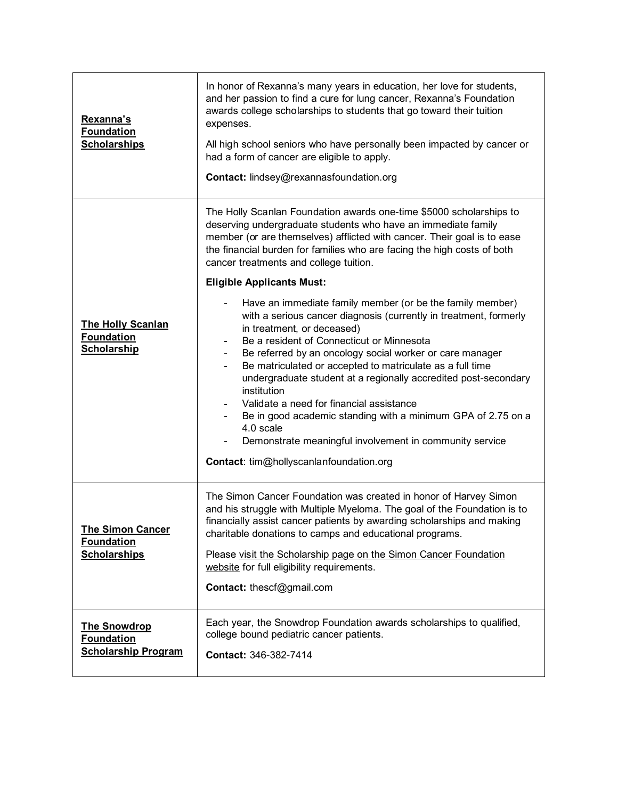| Rexanna's<br><b>Foundation</b><br><b>Scholarships</b>                  | In honor of Rexanna's many years in education, her love for students,<br>and her passion to find a cure for lung cancer, Rexanna's Foundation<br>awards college scholarships to students that go toward their tuition<br>expenses.<br>All high school seniors who have personally been impacted by cancer or<br>had a form of cancer are eligible to apply.<br>Contact: lindsey@rexannasfoundation.org                                                                                                                                                                                                                                                                                                                                                                                                                                                                                                                                                                                                                                            |
|------------------------------------------------------------------------|---------------------------------------------------------------------------------------------------------------------------------------------------------------------------------------------------------------------------------------------------------------------------------------------------------------------------------------------------------------------------------------------------------------------------------------------------------------------------------------------------------------------------------------------------------------------------------------------------------------------------------------------------------------------------------------------------------------------------------------------------------------------------------------------------------------------------------------------------------------------------------------------------------------------------------------------------------------------------------------------------------------------------------------------------|
| <b>The Holly Scanlan</b><br><b>Foundation</b><br><b>Scholarship</b>    | The Holly Scanlan Foundation awards one-time \$5000 scholarships to<br>deserving undergraduate students who have an immediate family<br>member (or are themselves) afflicted with cancer. Their goal is to ease<br>the financial burden for families who are facing the high costs of both<br>cancer treatments and college tuition.<br><b>Eligible Applicants Must:</b><br>Have an immediate family member (or be the family member)<br>with a serious cancer diagnosis (currently in treatment, formerly<br>in treatment, or deceased)<br>Be a resident of Connecticut or Minnesota<br>Be referred by an oncology social worker or care manager<br>$\blacksquare$<br>Be matriculated or accepted to matriculate as a full time<br>undergraduate student at a regionally accredited post-secondary<br>institution<br>Validate a need for financial assistance<br>Be in good academic standing with a minimum GPA of 2.75 on a<br>4.0 scale<br>Demonstrate meaningful involvement in community service<br>Contact: tim@hollyscanlanfoundation.org |
| <b>The Simon Cancer</b><br><b>Foundation</b><br><b>Scholarships</b>    | The Simon Cancer Foundation was created in honor of Harvey Simon<br>and his struggle with Multiple Myeloma. The goal of the Foundation is to<br>financially assist cancer patients by awarding scholarships and making<br>charitable donations to camps and educational programs.<br>Please visit the Scholarship page on the Simon Cancer Foundation<br>website for full eligibility requirements.<br>Contact: thescf@gmail.com                                                                                                                                                                                                                                                                                                                                                                                                                                                                                                                                                                                                                  |
| <b>The Snowdrop</b><br><b>Foundation</b><br><b>Scholarship Program</b> | Each year, the Snowdrop Foundation awards scholarships to qualified,<br>college bound pediatric cancer patients.<br>Contact: 346-382-7414                                                                                                                                                                                                                                                                                                                                                                                                                                                                                                                                                                                                                                                                                                                                                                                                                                                                                                         |